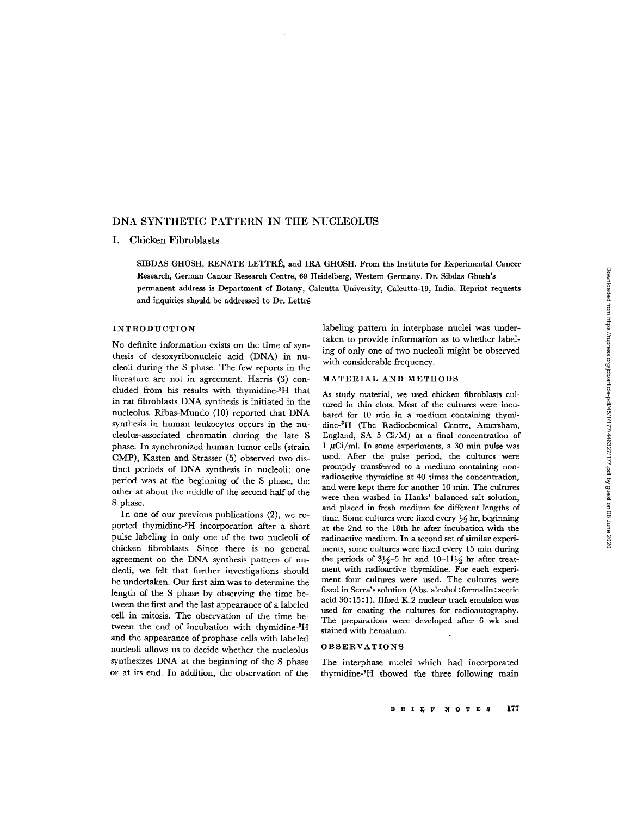# DNA SYNTHETIC PATTERN IN THE NUCLEOLUS

### I. Chicken Fibroblasts

SIBDAS GHOSH, RENATE LETTRÉ, and IRA GHOSH. From the Institute for Experimental Cancer Research, German Cancer Research Centre, 69 Heidelberg, Western Germany. Dr. Sibdas Ghosh's permanent address is Department of Botany, Calcutta University, Calcutta-19, India . Reprint requests and inquiries should be addressed to Dr. Lettré

#### INTRODUCTION

No definite information exists on the time of synthesis of desoxyribonucleic acid (DNA) in nucleoli during the S phase. The few reports in the literature are not in agreement. Harris (3) concluded from his results with thymidine 3H that in rat fibroblasts DNA synthesis is initiated in the nucleolus. Ribas-Mundo (10) reported that DNA synthesis in human leukocytes occurs in the nucleolus-associated chromatin during the late S phase. In synchronized human tumor cells (strain CMP), Kasten and Strasser (5) observed two distinct periods of DNA synthesis in nucleoli: one period was at the beginning of the S phase, the other at about the middle of the second half of the S phase.

In one of our previous publications (2), we reported thymidine-3H incorporation after a short pulse labeling in only one of the two nucleoli of chicken fibroblasts . Since there is no general agreement on the DNA synthesis pattern of nucleoli, we felt that further investigations should be undertaken. Our first aim was to determine the length of the S phase by observing the time between the first and the last appearance of a labeled cell in mitosis . The observation of the time between the end of incubation with thymidine-3H and the appearance of prophase cells with labeled nucleoli allows us to decide whether the nucleolus synthesizes DNA at the beginning of the S phase or at its end. In addition, the observation of the

labeling pattern in interphase nuclei was undertaken to provide information as to whether labeling of only one of two nucleoli might be observed with considerable frequency.

### MATERIAL AND METHODS

As study material, we used chicken fibroblasts cultured in thin clots. Most of the cultures were incubated for 10 min in a medium containing thymidine-<sup>3</sup>H (The Radiochemical Centre, Amersham, England, SA 5 Ci/M) at a final concentration of 1  $\mu$ Ci/ml. In some experiments, a 30 min pulse was used. After the pulse period, the cultures were promptly transferred to a medium containing nonradioactive thymidine at 40 times the concentration, and were kept there for another 10 min. The cultures were then washed in Hanks' balanced salt solution, and placed in fresh medium for different lengths of time. Some cultures were fixed every  $\frac{1}{2}$  hr, beginning at the 2nd to the 18th hr after incubation with the radioactive medium. In a second set of similar experiments, some cultures were fixed every 15 min during the periods of  $3\frac{1}{2}$ -5 hr and  $10$ - $11\frac{1}{2}$  hr after treatment with radioactive thymidine. For each experiment four cultures were used. The cultures were fixed in Serra's solution (Abs. alcohol: formalin: acetic acid 30:15:1). Ilford K.2 nuclear track emulsion was used for coating the cultures for radioautography. The preparations were developed after 6 wk and stained with hemalum.

#### OBSERVATIONS

The interphase nuclei which had incorporated thymidine-<sup>3</sup>H showed the three following main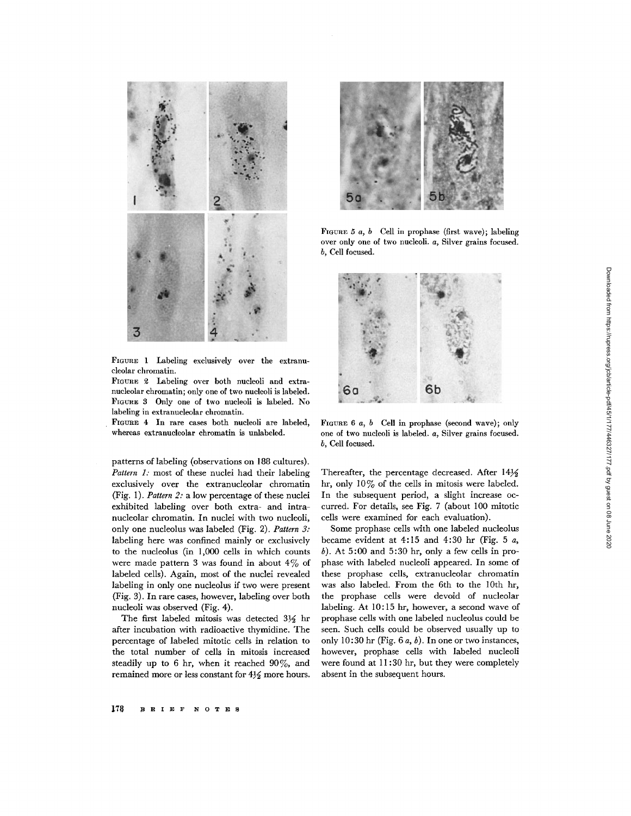

FIGURE 1 Labeling exclusively over the extranucleolar chromatin.

FIGURE 2 Labeling over both nucleoli and extranucleolar chromatin; only one of two nucleoli is labeled. FIGURE 3 Only one of two nucleoli is labeled. No labeling in extranucleolar chromatin.

FIGURE 4 In rare cases both nucleoli are labeled, whereas extranucleolar chromatin is unlabeled.

patterns of labeling (observations on 188 cultures). Pattern  $1$ : most of these nuclei had their labeling exclusively over the extranucleolar chromatin (Fig. 1). Pattern 2: a low percentage of these nuclei exhibited labeling over both extra- and intranucleolar chromatin. In nuclei with two nucleoli, only one nucleolus was labeled (Fig. 2). Pattern 3: labeling here was confined mainly or exclusively to the nucleolus (in 1,000 cells in which counts were made pattern 3 was found in about  $4\%$  of labeled cells). Again, most of the nuclei revealed labeling in only one nucleolus if two were present (Fig. 3). In rare cases, however, labeling over both nucleoli was observed (Fig. 4).

The first labeled mitosis was detected  $3\frac{1}{2}$  hr after incubation with radioactive thymidine. The percentage of labeled mitotic cells in relation to the total number of cells in mitosis increased steadily up to 6 hr, when it reached  $90\%$ , and remained more or less constant for  $4\frac{1}{2}$  more hours.



FIGURE 5  $a, b$  Cell in prophase (first wave); labeling over only one of two nucleoli. a, Silver grains focused. b, Cell focused.



FIGURE 6  $a, b$  Cell in prophase (second wave); only one of two nucleoli is labeled. a, Silver grains focused. b, Cell focused.

Thereafter, the percentage decreased. After  $14\frac{1}{2}$ hr, only  $10\%$  of the cells in mitosis were labeled. In the subsequent period, a slight increase occurred. For details, see Fig. 7 (about 100 mitotic cells were examined for each evaluation).

Some prophase cells with one labeled nucleolus became evident at  $4:15$  and  $4:30$  hr (Fig. 5 a,  $b$ ). At 5:00 and 5:30 hr, only a few cells in prophase with labeled nucleoli appeared. In some of these prophase cells, extranucleolar chromatin was also labeled. From the 6th to the 10th hr, the prophase cells were devoid of nucleolar labeling. At 10:15 hr, however, a second wave of prophase cells with one labeled nucleolus could be seen. Such cells could be observed usually up to only 10:30 hr (Fig.  $6a, b$ ). In one or two instances, however, prophase cells with labeled nucleoli were found at  $11:30$  hr, but they were completely absent in the subsequent hours.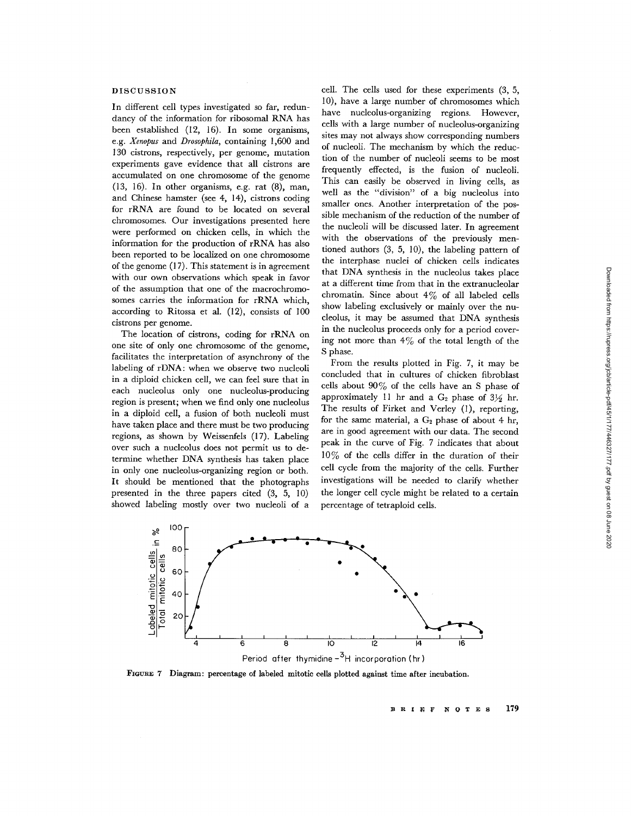## DISCUSSION

In different cell types investigated so far, redundancy of the information for ribosomal RNA has been established (12, 16). In some organisms, e.g. Xenopus and Drosophila, containing 1,600 and 130 cistrons, respectively, per genome, mutation experiments gave evidence that all cistrons are accumulated on one chromosome of the genome  $(13, 16)$ . In other organisms, e.g. rat  $(8)$ , man, and Chinese hamster (see 4, 14), cistrons coding for rRNA are found to be located on several chromosomes. Our investigations presented here were performed on chicken cells, in which the information for the production of rRNA has also been reported to be localized on one chromosome of the genome (17) . This statement is in agreement with our own observations which speak in favor of the assumption that one of the macrochromosomes carries the information for rRNA which, according to Ritossa et al.  $(12)$ , consists of  $100$ cistrons per genome.

The location of cistrons, coding for rRNA on one site of only one chromosome of the genome, facilitates the interpretation of asynchrony of the labeling of rDNA: when we observe two nucleoli in a diploid chicken cell, we can feel sure that in each nucleolus only one nucleolus-producing region is present; when we find only one nucleolus in a diploid cell, a fusion of both nucleoli must have taken place and there must be two producing regions, as shown by Weissenfels (17). Labeling over such a nucleolus does not permit us to determine whether DNA synthesis has taken place in only one nucleolus-organizing region or both. It should be mentioned that the photographs presented in the three papers cited (3, 5, 10) showed labeling mostly over two nucleoli of a

cell. The cells used for these experiments  $(3, 5, 5)$ 10), have a large number of chromosomes which have nucleolus-organizing regions. However, cells with a large number of nucleolus-organizing sites may not always show corresponding numbers of nucleoli. The mechanism by which the reduction of the number of nucleoli seems to be most frequently effected, is the fusion of nucleoli. This can easily be observed in living cells, as well as the "division" of a big nucleolus into smaller ones. Another interpretation of the possible mechanism of the reduction of the number of the nucleoli will be discussed later. In agreement with the observations of the previously mentioned authors (3, 5, 10), the labeling pattern of the interphase nuclei of chicken cells indicates that DNA synthesis in the nucleolus takes place at a different time from that in the extranucleolar chromatin. Since about  $4\%$  of all labeled cells show labeling exclusively or mainly over the nucleolus, it may be assumed that DNA synthesis in the nucleolus proceeds only for a period covering not more than  $4\%$  of the total length of the S phase.

From the results plotted in Fig. 7, it may be concluded that in cultures of chicken fibroblast cells about  $90\%$  of the cells have an S phase of approximately 11 hr and a  $G_2$  phase of  $3\frac{1}{2}$  hr. The results of Firket and Verley (1), reporting, for the same material, a  $G_2$  phase of about 4 hr, are in good agreement with our data . The second peak in the curve of Fig. 7 indicates that about  $10\%$  of the cells differ in the duration of their cell cycle from the majority of the cells . Further investigations will be needed to clarify whether the longer cell cycle might be related to a certain percentage of tetraploid cells.



FIGURE 7 Diagram: percentage of labeled mitotic cells plotted against time after incubation.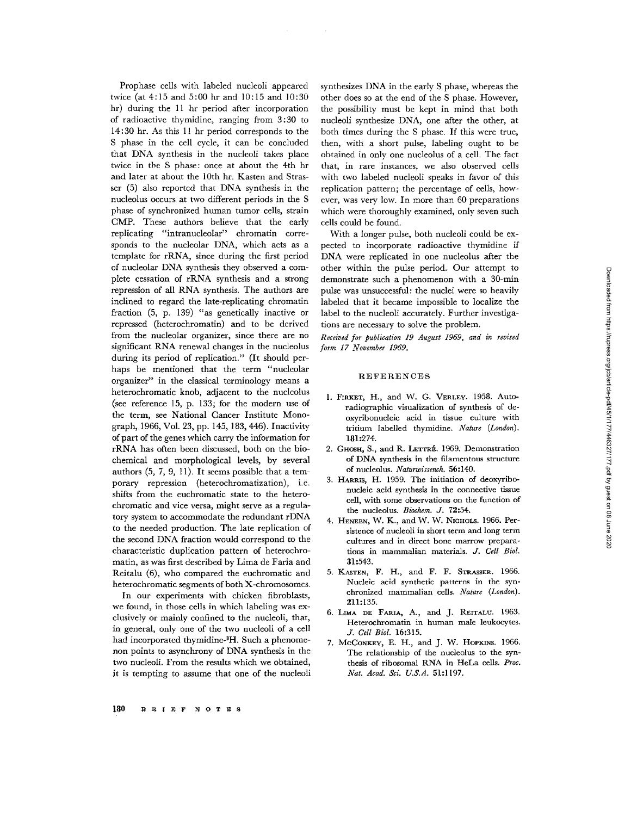Prophase cells with labeled nucleoli appeared twice (at 4:15 and 5:00 hr and 10:15 and 10:30 hr) during the 11 hr period after incorporation of radioactive thymidine, ranging from 3 :30 to 14 :30 hr . As this 11 hr period corresponds to the S phase in the cell cycle, it can be concluded that DNA synthesis in the nucleoli takes place twice in the S phase: once at about the 4th hr and later at about the 10th hr. Kasten and Strasser (5) also reported that DNA synthesis in the nucleolus occurs at two different periods in the S phase of synchronized human tumor cells, strain CMP. These authors believe that the early replicating "intranucleolar" chromatin corresponds to the nucleolar DNA, which acts as a template for rRNA, since during the first period of nucleolar DNA synthesis they observed a complete cessation of rRNA synthesis and a strong repression of all RNA synthesis. The authors are inclined to regard the late-replicating chromatin fraction  $(5, p. 139)$  "as genetically inactive or repressed (heterochromatin) and to be derived from the nucleolar organizer, since there are no significant RNA renewal changes in the nucleolus during its period of replication." (It should perhaps be mentioned that the term "nucleolar organizer" in the classical terminology means a heterochromatic knob, adjacent to the nucleolus (see reference  $15$ , p.  $133$ ; for the modern use of the term, see National Cancer Institute Monograph, 1966, Vol. 23, pp . 145, 183, 446) . Inactivity of part of the genes which carry the information for rRNA has often been discussed, both on the biochemical and morphological levels, by several authors (5, 7, 9, 11). It seems possible that a temporary repression (heterochromatization), i.e. shifts from the euchromatic state to the heterochromatic and vice versa, might serve as a regulatory system to accommodate the redundant rDNA to the needed production . The late replication of the second DNA fraction would correspond to the characteristic duplication pattern of heterochromatin, as was first described by Lima de Faria and Reitalu (6), who compared the euchromatic and heterochromatic segments of both X-chromosomes .

In our experiments with chicken fibroblasts, we found, in those cells in which labeling was exclusively or mainly confined to the nucleoli, that, in general, only one of the two nucleoli of a cell had incorporated thymidine-<sup>8</sup>H. Such a phenomenon points to asynchrony of DNA synthesis in the two nucleoli. From the results which we obtained, it is tempting to assume that one of the nucleoli synthesizes DNA in the early S phase, whereas the other does so at the end of the S phase. However, the possibility must be kept in mind that both nucleoli synthesize DNA, one after the other, at both times during the S phase. If this were true, then, with a short pulse, labeling ought to be obtained in only one nucleolus of a cell. The fact that, in rare instances, we also observed cells with two labeled nucleoli speaks in favor of this replication pattern; the percentage of cells, however, was very low. In more than 60 preparations which were thoroughly examined, only seven such cells could be found.

With a longer pulse, both nucleoli could be expected to incorporate radioactive thymidine if DNA were replicated in one nucleolus after the other within the pulse period . Our attempt to demonstrate such a phenomenon with a 30-min pulse was unsuccessful: the nuclei were so heavily labeled that it became impossible to localize the label to the nucleoli accurately. Further investigations are necessary to solve the problem.

Received for publication 19 August 1969, and in revised form 17 November 1969.

#### REFERENCES

- 1. FIRKET, H., and W. G. VERLEY. 1958. Autoradiographic visualization of synthesis of deoxyribonucleic acid in tissue culture with tritium labelled thymidine. Nature (London). 181:274.
- 2. GHOSH, S., and R. LETTRÉ. 1969. Demonstration of DNA synthesis in the filamentous structure of nucleolus. Naturwissench. 56:140.
- <sup>3</sup> . HARRIS, H. 1959. The initiation of deoxyribonucleic acid synthesis in the connective tissue cell, with some observations on the function of the nucleolus. Biochem. J. 72:54.
- 4. HENEEN, W. K., and W. W. NICHOLS. 1966. Persistence of nucleoli in short term and long term cultures and in direct bone marrow preparations in mammalian materials. J. Cell Biol. 31 :543 .
- 5. KASTEN, F. H., and F. F. STRASSER. 1966. Nucleic acid synthetic patterns in the synchronized mammalian cells. Nature (London). 211:135.
- 6. LIMA DE FARIA, A., and J. REITALU. 1963. Heterochromatin in human male leukocytes. J. Cell Biol. 16:315.
- 7. McConkey, E. H., and J. W. HOPKINS. 1966. The relationship of the nucleolus to the synthesis of ribosomal RNA in HeLa cells. Proc. Nat. Acad. Sci. U.S.A. 51:1197.